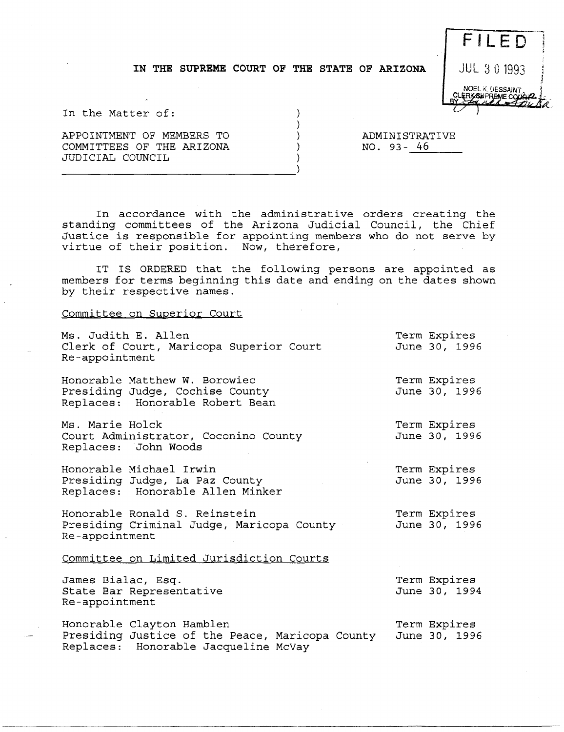## IN THE SUPREME COURT OF THE STATE OF ARIZONA  $\parallel$  JUL 3 0 1993



In the Matter of:

APPOINTMENT OF MEMBERS TO COMMITTEES OF THE ARIZONA JUDICIAL COUNCIL

ADMINISTRATIVE<br>NO. 93-<u>46</u>

In accordance with the administrative orders creating the standing committees of the Arizona Judicial Council, the Chief Justice is responsible for appointing members who do not serve by virtue of their position. Now, therefore,

IT IS ORDERED that the following persons are appointed as members for terms beginning this date and ending on the dates shown by their respective names.

## Committee on Superior Court

| Ms. Judith E. Allen<br>Clerk of Court, Maricopa Superior Court<br>Re-appointment                                     | Term Expires<br>June 30, 1996 |
|----------------------------------------------------------------------------------------------------------------------|-------------------------------|
| Honorable Matthew W. Borowiec<br>Presiding Judge, Cochise County<br>Replaces: Honorable Robert Bean                  | Term Expires<br>June 30, 1996 |
| Ms. Marie Holck<br>Court Administrator, Coconino County<br>Replaces: John Woods                                      | Term Expires<br>June 30, 1996 |
| Honorable Michael Irwin<br>Presiding Judge, La Paz County<br>Replaces: Honorable Allen Minker                        | Term Expires<br>June 30, 1996 |
| Honorable Ronald S. Reinstein<br>Presiding Criminal Judge, Maricopa County<br>Re-appointment                         | Term Expires<br>June 30, 1996 |
| Committee on Limited Jurisdiction Courts                                                                             |                               |
| James Bialac, Esq.<br>State Bar Representative<br>Re-appointment                                                     | Term Expires<br>June 30, 1994 |
| Honorable Clayton Hamblen<br>Presiding Justice of the Peace, Maricopa County<br>Replaces: Honorable Jacqueline McVay | Term Expires<br>June 30, 1996 |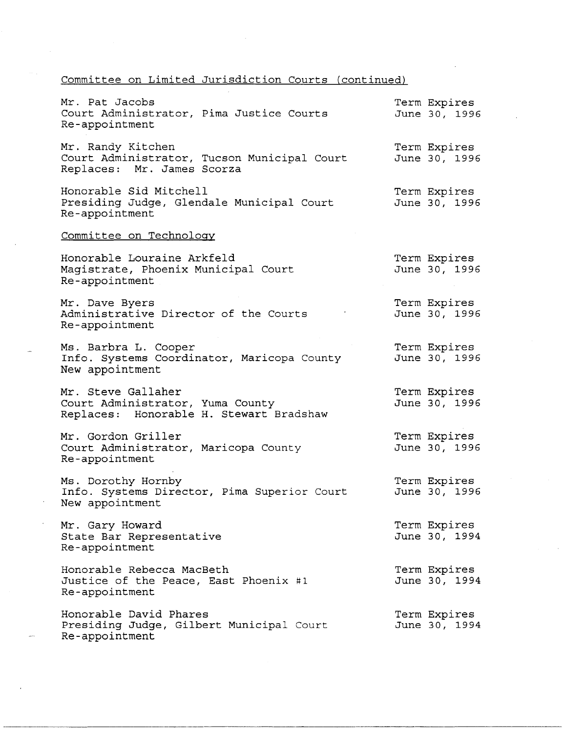## Committee on Limited Jurisdiction Courts (continued)

| Mr. Pat Jacobs<br>Court Administrator, Pima Justice Courts<br>Re-appointment                      | Term Expires<br>June 30, 1996 |
|---------------------------------------------------------------------------------------------------|-------------------------------|
| Mr. Randy Kitchen<br>Court Administrator, Tucson Municipal Court<br>Replaces: Mr. James Scorza    | Term Expires<br>June 30, 1996 |
| Honorable Sid Mitchell<br>Presiding Judge, Glendale Municipal Court<br>Re-appointment             | Term Expires<br>June 30, 1996 |
| Committee on Technology                                                                           |                               |
| Honorable Louraine Arkfeld<br>Magistrate, Phoenix Municipal Court<br>Re-appointment               | Term Expires<br>June 30, 1996 |
| Mr. Dave Byers<br>Administrative Director of the Courts<br>Re-appointment                         | Term Expires<br>June 30, 1996 |
| Ms. Barbra L. Cooper<br>Info. Systems Coordinator, Maricopa County<br>New appointment             | Term Expires<br>June 30, 1996 |
| Mr. Steve Gallaher<br>Court Administrator, Yuma County<br>Replaces: Honorable H. Stewart Bradshaw | Term Expires<br>June 30, 1996 |
| Mr. Gordon Griller<br>Court Administrator, Maricopa County<br>Re-appointment                      | Term Expires<br>June 30, 1996 |
| Ms. Dorothy Hornby<br>Info. Systems Director, Pima Superior Court<br>New appointment              | Term Expires<br>June 30, 1996 |
| Mr. Gary Howard<br>State Bar Representative<br>Re-appointment                                     | Term Expires<br>June 30, 1994 |
| Honorable Rebecca MacBeth<br>Justice of the Peace, East Phoenix #1<br>Re-appointment              | Term Expires<br>June 30, 1994 |
| Honorable David Phares<br>Presiding Judge, Gilbert Municipal Court<br>Re-appointment              | Term Expires<br>June 30, 1994 |